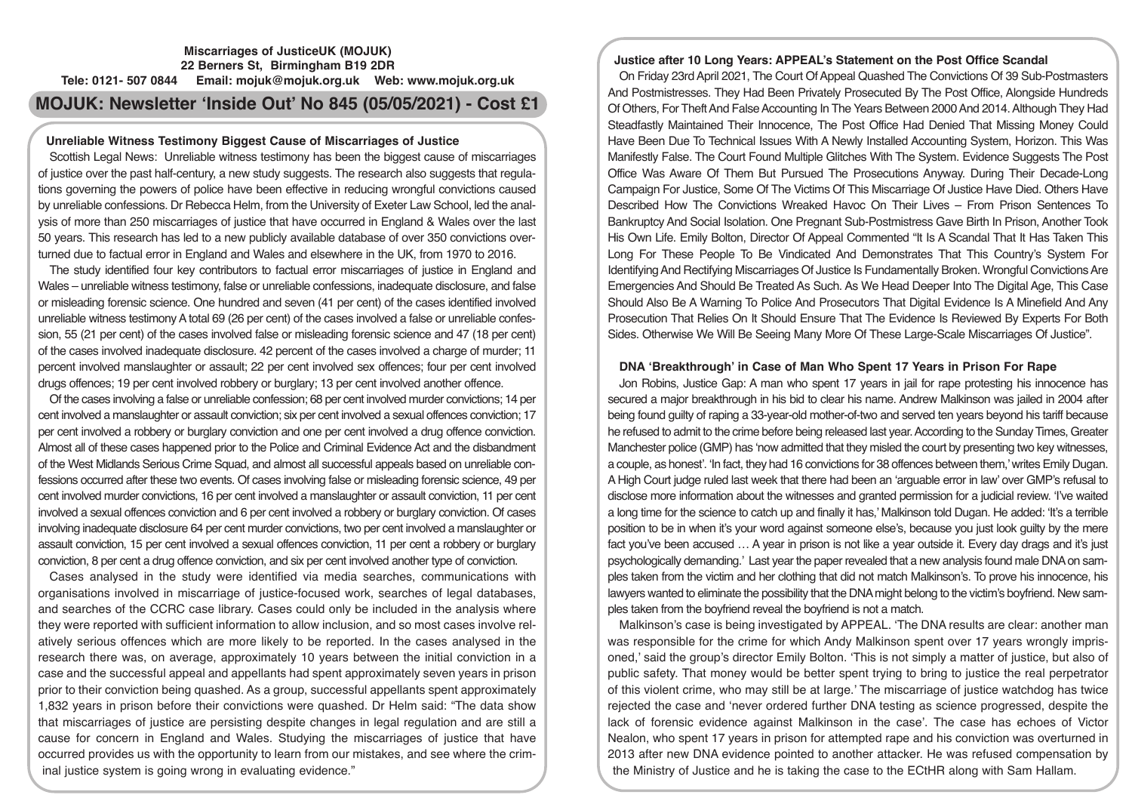# **Miscarriages of JusticeUK (MOJUK) 22 Berners St, Birmingham B19 2DR Tele: 0121- 507 0844 Email: mojuk@mojuk.org.uk Web: www.mojuk.org.uk**

# **MOJUK: Newsletter 'Inside Out' No 845 (05/05/2021) - Cost £1**

# **Unreliable Witness Testimony Biggest Cause of Miscarriages of Justice**

Scottish Legal News: Unreliable witness testimony has been the biggest cause of miscarriages of justice over the past half-century, a new study suggests. The research also suggests that regulations governing the powers of police have been effective in reducing wrongful convictions caused by unreliable confessions. Dr Rebecca Helm, from the University of Exeter Law School, led the analysis of more than 250 miscarriages of justice that have occurred in England & Wales over the last 50 years. This research has led to a new publicly available database of over 350 convictions overturned due to factual error in England and Wales and elsewhere in the UK, from 1970 to 2016.

The study identified four key contributors to factual error miscarriages of justice in England and Wales – unreliable witness testimony, false or unreliable confessions, inadequate disclosure, and false or misleading forensic science. One hundred and seven (41 per cent) of the cases identified involved unreliable witness testimony A total 69 (26 per cent) of the cases involved a false or unreliable confession, 55 (21 per cent) of the cases involved false or misleading forensic science and 47 (18 per cent) of the cases involved inadequate disclosure. 42 percent of the cases involved a charge of murder; 11 percent involved manslaughter or assault; 22 per cent involved sex offences; four per cent involved drugs offences; 19 per cent involved robbery or burglary; 13 per cent involved another offence.

Of the cases involving a false or unreliable confession; 68 per cent involved murder convictions; 14 per cent involved a manslaughter or assault conviction; six per cent involved a sexual offences conviction; 17 per cent involved a robbery or burglary conviction and one per cent involved a drug offence conviction. Almost all of these cases happened prior to the Police and Criminal Evidence Act and the disbandment of the West Midlands Serious Crime Squad, and almost all successful appeals based on unreliable confessions occurred after these two events. Of cases involving false or misleading forensic science, 49 per cent involved murder convictions, 16 per cent involved a manslaughter or assault conviction, 11 per cent involved a sexual offences conviction and 6 per cent involved a robbery or burglary conviction. Of cases involving inadequate disclosure 64 per cent murder convictions, two per cent involved a manslaughter or assault conviction, 15 per cent involved a sexual offences conviction, 11 per cent a robbery or burglary conviction, 8 per cent a drug offence conviction, and six per cent involved another type of conviction.

Cases analysed in the study were identified via media searches, communications with organisations involved in miscarriage of justice-focused work, searches of legal databases, and searches of the CCRC case library. Cases could only be included in the analysis where they were reported with sufficient information to allow inclusion, and so most cases involve relatively serious offences which are more likely to be reported. In the cases analysed in the research there was, on average, approximately 10 years between the initial conviction in a case and the successful appeal and appellants had spent approximately seven years in prison prior to their conviction being quashed. As a group, successful appellants spent approximately 1,832 years in prison before their convictions were quashed. Dr Helm said: "The data show that miscarriages of justice are persisting despite changes in legal regulation and are still a cause for concern in England and Wales. Studying the miscarriages of justice that have occurred provides us with the opportunity to learn from our mistakes, and see where the criminal justice system is going wrong in evaluating evidence."

### **Justice after 10 Long Years: APPEAL's Statement on the Post Office Scandal**

On Friday 23rd April 2021, The Court Of Appeal Quashed The Convictions Of 39 Sub-Postmasters And Postmistresses. They Had Been Privately Prosecuted By The Post Office, Alongside Hundreds Of Others, For Theft And False Accounting In The Years Between 2000 And 2014. Although They Had Steadfastly Maintained Their Innocence, The Post Office Had Denied That Missing Money Could Have Been Due To Technical Issues With A Newly Installed Accounting System, Horizon. This Was Manifestly False. The Court Found Multiple Glitches With The System. Evidence Suggests The Post Office Was Aware Of Them But Pursued The Prosecutions Anyway. During Their Decade-Long Campaign For Justice, Some Of The Victims Of This Miscarriage Of Justice Have Died. Others Have Described How The Convictions Wreaked Havoc On Their Lives – From Prison Sentences To Bankruptcy And Social Isolation. One Pregnant Sub-Postmistress Gave Birth In Prison, Another Took His Own Life. Emily Bolton, Director Of Appeal Commented "It Is A Scandal That It Has Taken This Long For These People To Be Vindicated And Demonstrates That This Country's System For Identifying And Rectifying Miscarriages Of Justice Is Fundamentally Broken. Wrongful Convictions Are Emergencies And Should Be Treated As Such. As We Head Deeper Into The Digital Age, This Case Should Also Be A Warning To Police And Prosecutors That Digital Evidence Is A Minefield And Any Prosecution That Relies On It Should Ensure That The Evidence Is Reviewed By Experts For Both Sides. Otherwise We Will Be Seeing Many More Of These Large-Scale Miscarriages Of Justice".

### **DNA 'Breakthrough' in Case of Man Who Spent 17 Years in Prison For Rape**

Jon Robins, Justice Gap: A man who spent 17 years in jail for rape protesting his innocence has secured a major breakthrough in his bid to clear his name. Andrew Malkinson was jailed in 2004 after being found guilty of raping a 33-year-old mother-of-two and served ten years beyond his tariff because he refused to admit to the crime before being released last year. According to the Sunday Times, Greater Manchester police (GMP) has 'now admitted that they misled the court by presenting two key witnesses, a couple, as honest'. 'In fact, they had 16 convictions for 38 offences between them,' writes Emily Dugan. A High Court judge ruled last week that there had been an 'arguable error in law' over GMP's refusal to disclose more information about the witnesses and granted permission for a judicial review. 'I've waited a long time for the science to catch up and finally it has,' Malkinson told Dugan. He added: 'It's a terrible position to be in when it's your word against someone else's, because you just look guilty by the mere fact you've been accused … A year in prison is not like a year outside it. Every day drags and it's just psychologically demanding.' Last year the paper revealed that a new analysis found male DNA on samples taken from the victim and her clothing that did not match Malkinson's. To prove his innocence, his lawyers wanted to eliminate the possibility that the DNA might belong to the victim's boyfriend. New samples taken from the boyfriend reveal the boyfriend is not a match.

Malkinson's case is being investigated by APPEAL. 'The DNA results are clear: another man was responsible for the crime for which Andy Malkinson spent over 17 years wrongly imprisoned,' said the group's director Emily Bolton. 'This is not simply a matter of justice, but also of public safety. That money would be better spent trying to bring to justice the real perpetrator of this violent crime, who may still be at large.' The miscarriage of justice watchdog has twice rejected the case and 'never ordered further DNA testing as science progressed, despite the lack of forensic evidence against Malkinson in the case'. The case has echoes of Victor Nealon, who spent 17 years in prison for attempted rape and his conviction was overturned in 2013 after new DNA evidence pointed to another attacker. He was refused compensation by the Ministry of Justice and he is taking the case to the ECtHR along with Sam Hallam.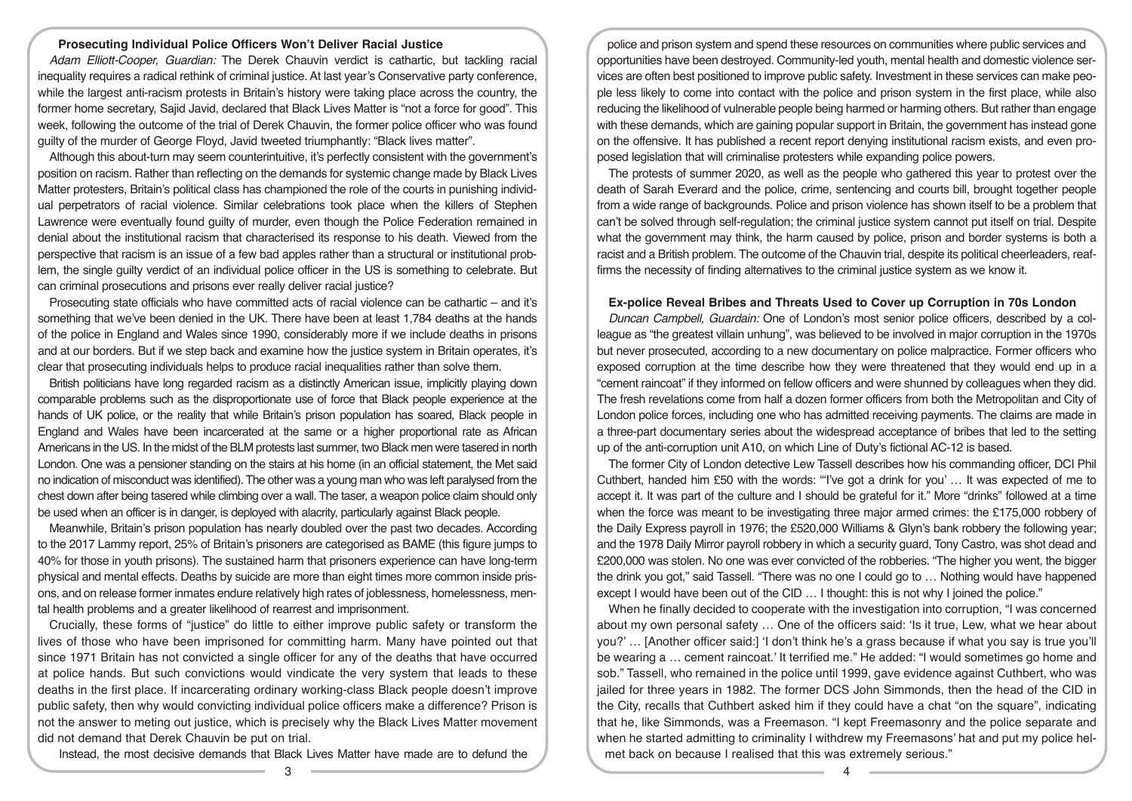### **Prosecuting Individual Police Officers Won't Deliver Racial Justice**

*Adam Elliott-Cooper, Guardian:* The Derek Chauvin verdict is cathartic, but tackling racial inequality requires a radical rethink of criminal justice. At last year's Conservative party conference, while the largest anti-racism protests in Britain's history were taking place across the country, the former home secretary, Sajid Javid, declared that Black Lives Matter is "not a force for good". This week, following the outcome of the trial of Derek Chauvin, the former police officer who was found guilty of the murder of George Floyd, Javid tweeted triumphantly: "Black lives matter".

Although this about-turn may seem counterintuitive, it's perfectly consistent with the government's position on racism. Rather than reflecting on the demands for systemic change made by Black Lives Matter protesters, Britain's political class has championed the role of the courts in punishing individual perpetrators of racial violence. Similar celebrations took place when the killers of Stephen Lawrence were eventually found guilty of murder, even though the Police Federation remained in denial about the institutional racism that characterised its response to his death. Viewed from the perspective that racism is an issue of a few bad apples rather than a structural or institutional problem, the single guilty verdict of an individual police officer in the US is something to celebrate. But can criminal prosecutions and prisons ever really deliver racial justice?

Prosecuting state officials who have committed acts of racial violence can be cathartic – and it's something that we've been denied in the UK. There have been at least 1,784 deaths at the hands of the police in England and Wales since 1990, considerably more if we include deaths in prisons and at our borders. But if we step back and examine how the justice system in Britain operates, it's clear that prosecuting individuals helps to produce racial inequalities rather than solve them.

British politicians have long regarded racism as a distinctly American issue, implicitly playing down comparable problems such as the disproportionate use of force that Black people experience at the hands of UK police, or the reality that while Britain's prison population has soared, Black people in England and Wales have been incarcerated at the same or a higher proportional rate as African Americans in the US. In the midst of the BLM protests last summer, two Black men were tasered in north London. One was a pensioner standing on the stairs at his home (in an official statement, the Met said no indication of misconduct was identified). The other was a young man who was left paralysed from the chest down after being tasered while climbing over a wall. The taser, a weapon police claim should only be used when an officer is in danger, is deployed with alacrity, particularly against Black people.

Meanwhile, Britain's prison population has nearly doubled over the past two decades. According to the 2017 Lammy report, 25% of Britain's prisoners are categorised as BAME (this figure jumps to 40% for those in youth prisons). The sustained harm that prisoners experience can have long-term physical and mental effects. Deaths by suicide are more than eight times more common inside prisons, and on release former inmates endure relatively high rates of joblessness, homelessness, mental health problems and a greater likelihood of rearrest and imprisonment.

Crucially, these forms of "justice" do little to either improve public safety or transform the lives of those who have been imprisoned for committing harm. Many have pointed out that since 1971 Britain has not convicted a single officer for any of the deaths that have occurred at police hands. But such convictions would vindicate the very system that leads to these deaths in the first place. If incarcerating ordinary working-class Black people doesn't improve public safety, then why would convicting individual police officers make a difference? Prison is not the answer to meting out justice, which is precisely why the Black Lives Matter movement did not demand that Derek Chauvin be put on trial.

Instead, the most decisive demands that Black Lives Matter have made are to defund the

police and prison system and spend these resources on communities where public services and opportunities have been destroyed. Community-led youth, mental health and domestic violence services are often best positioned to improve public safety. Investment in these services can make people less likely to come into contact with the police and prison system in the first place, while also reducing the likelihood of vulnerable people being harmed or harming others. But rather than engage with these demands, which are gaining popular support in Britain, the government has instead gone on the offensive. It has published a recent report denying institutional racism exists, and even proposed legislation that will criminalise protesters while expanding police powers.

The protests of summer 2020, as well as the people who gathered this year to protest over the death of Sarah Everard and the police, crime, sentencing and courts bill, brought together people from a wide range of backgrounds. Police and prison violence has shown itself to be a problem that can't be solved through self-regulation; the criminal justice system cannot put itself on trial. Despite what the government may think, the harm caused by police, prison and border systems is both a racist and a British problem. The outcome of the Chauvin trial, despite its political cheerleaders, reaffirms the necessity of finding alternatives to the criminal justice system as we know it.

#### **Ex-police Reveal Bribes and Threats Used to Cover up Corruption in 70s London**

*Duncan Campbell, Guardain:* One of London's most senior police officers, described by a colleague as "the greatest villain unhung", was believed to be involved in major corruption in the 1970s but never prosecuted, according to a new documentary on police malpractice. Former officers who exposed corruption at the time describe how they were threatened that they would end up in a "cement raincoat" if they informed on fellow officers and were shunned by colleagues when they did. The fresh revelations come from half a dozen former officers from both the Metropolitan and City of London police forces, including one who has admitted receiving payments. The claims are made in a three-part documentary series about the widespread acceptance of bribes that led to the setting up of the anti-corruption unit A10, on which Line of Duty's fictional AC-12 is based.

The former City of London detective Lew Tassell describes how his commanding officer, DCI Phil Cuthbert, handed him £50 with the words: "'I've got a drink for you' … It was expected of me to accept it. It was part of the culture and I should be grateful for it." More "drinks" followed at a time when the force was meant to be investigating three major armed crimes: the £175,000 robbery of the Daily Express payroll in 1976; the £520,000 Williams & Glyn's bank robbery the following year; and the 1978 Daily Mirror payroll robbery in which a security guard, Tony Castro, was shot dead and £200,000 was stolen. No one was ever convicted of the robberies. "The higher you went, the bigger the drink you got," said Tassell. "There was no one I could go to … Nothing would have happened except I would have been out of the CID … I thought: this is not why I joined the police."

When he finally decided to cooperate with the investigation into corruption, "I was concerned about my own personal safety … One of the officers said: 'Is it true, Lew, what we hear about you?' … [Another officer said:] 'I don't think he's a grass because if what you say is true you'll be wearing a … cement raincoat.' It terrified me." He added: "I would sometimes go home and sob." Tassell, who remained in the police until 1999, gave evidence against Cuthbert, who was jailed for three years in 1982. The former DCS John Simmonds, then the head of the CID in the City, recalls that Cuthbert asked him if they could have a chat "on the square", indicating that he, like Simmonds, was a Freemason. "I kept Freemasonry and the police separate and when he started admitting to criminality I withdrew my Freemasons' hat and put my police helmet back on because I realised that this was extremely serious."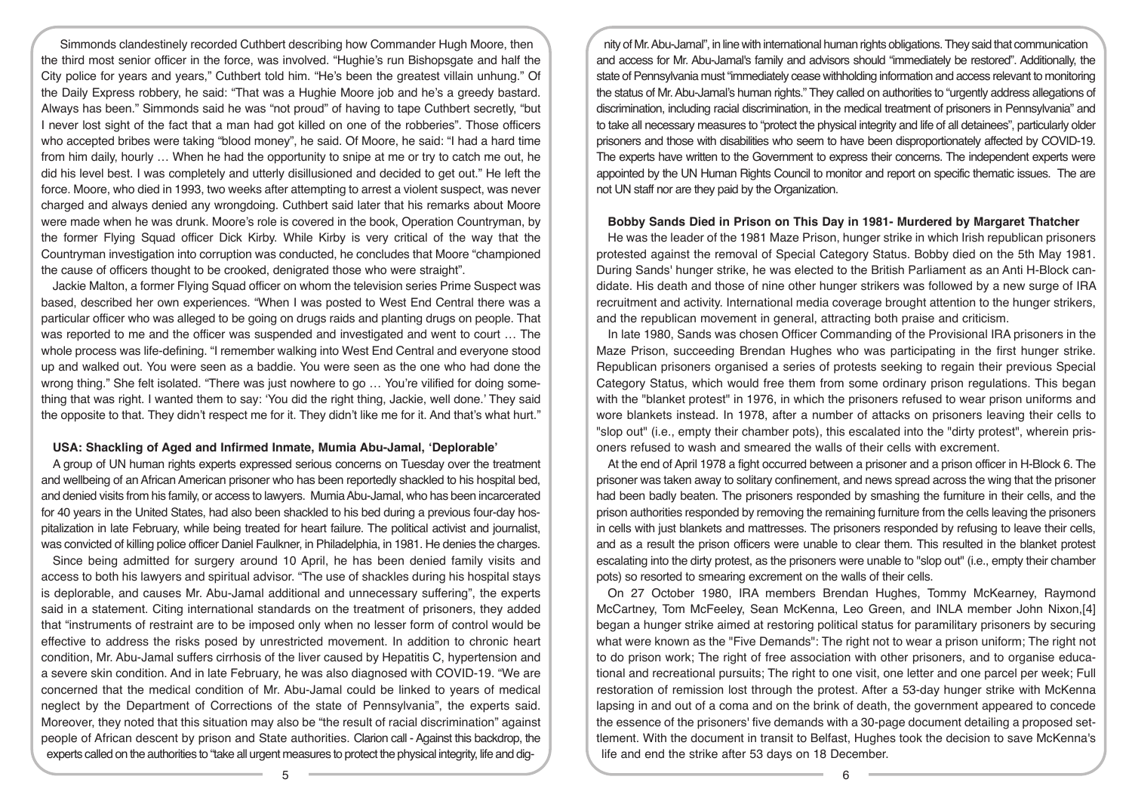Simmonds clandestinely recorded Cuthbert describing how Commander Hugh Moore, then the third most senior officer in the force, was involved. "Hughie's run Bishopsgate and half the City police for years and years," Cuthbert told him. "He's been the greatest villain unhung." Of the Daily Express robbery, he said: "That was a Hughie Moore job and he's a greedy bastard. Always has been." Simmonds said he was "not proud" of having to tape Cuthbert secretly, "but I never lost sight of the fact that a man had got killed on one of the robberies". Those officers who accepted bribes were taking "blood money", he said. Of Moore, he said: "I had a hard time from him daily, hourly … When he had the opportunity to snipe at me or try to catch me out, he did his level best. I was completely and utterly disillusioned and decided to get out." He left the force. Moore, who died in 1993, two weeks after attempting to arrest a violent suspect, was never charged and always denied any wrongdoing. Cuthbert said later that his remarks about Moore were made when he was drunk. Moore's role is covered in the book, Operation Countryman, by the former Flying Squad officer Dick Kirby. While Kirby is very critical of the way that the Countryman investigation into corruption was conducted, he concludes that Moore "championed the cause of officers thought to be crooked, denigrated those who were straight".

Jackie Malton, a former Flying Squad officer on whom the television series Prime Suspect was based, described her own experiences. "When I was posted to West End Central there was a particular officer who was alleged to be going on drugs raids and planting drugs on people. That was reported to me and the officer was suspended and investigated and went to court … The whole process was life-defining. "I remember walking into West End Central and everyone stood up and walked out. You were seen as a baddie. You were seen as the one who had done the wrong thing." She felt isolated. "There was just nowhere to go … You're vilified for doing something that was right. I wanted them to say: 'You did the right thing, Jackie, well done.' They said the opposite to that. They didn't respect me for it. They didn't like me for it. And that's what hurt."

#### **USA: Shackling of Aged and Infirmed Inmate, Mumia Abu-Jamal, 'Deplorable'**

A group of UN human rights experts expressed serious concerns on Tuesday over the treatment and wellbeing of an African American prisoner who has been reportedly shackled to his hospital bed, and denied visits from his family, or access to lawyers. Mumia Abu-Jamal, who has been incarcerated for 40 years in the United States, had also been shackled to his bed during a previous four-day hospitalization in late February, while being treated for heart failure. The political activist and journalist, was convicted of killing police officer Daniel Faulkner, in Philadelphia, in 1981. He denies the charges.

Since being admitted for surgery around 10 April, he has been denied family visits and access to both his lawyers and spiritual advisor. "The use of shackles during his hospital stays is deplorable, and causes Mr. Abu-Jamal additional and unnecessary suffering", the experts said in a statement. Citing international standards on the treatment of prisoners, they added that "instruments of restraint are to be imposed only when no lesser form of control would be effective to address the risks posed by unrestricted movement. In addition to chronic heart condition, Mr. Abu-Jamal suffers cirrhosis of the liver caused by Hepatitis C, hypertension and a severe skin condition. And in late February, he was also diagnosed with COVID-19. "We are concerned that the medical condition of Mr. Abu-Jamal could be linked to years of medical neglect by the Department of Corrections of the state of Pennsylvania", the experts said. Moreover, they noted that this situation may also be "the result of racial discrimination" against people of African descent by prison and State authorities. Clarion call - Against this backdrop, the experts called on the authorities to "take all urgent measures to protect the physical integrity, life and dig-

nity of Mr. Abu-Jamal", in line with international human rights obligations. They said that communication and access for Mr. Abu-Jamal's family and advisors should "immediately be restored". Additionally, the state of Pennsylvania must "immediately cease withholding information and access relevant to monitoring the status of Mr. Abu-Jamal's human rights." They called on authorities to "urgently address allegations of discrimination, including racial discrimination, in the medical treatment of prisoners in Pennsylvania" and to take all necessary measures to "protect the physical integrity and life of all detainees", particularly older prisoners and those with disabilities who seem to have been disproportionately affected by COVID-19. The experts have written to the Government to express their concerns. The independent experts were appointed by the UN Human Rights Council to monitor and report on specific thematic issues. The are not UN staff nor are they paid by the Organization.

#### **Bobby Sands Died in Prison on This Day in 1981- Murdered by Margaret Thatcher**

He was the leader of the 1981 Maze Prison, hunger strike in which Irish republican prisoners protested against the removal of Special Category Status. Bobby died on the 5th May 1981. During Sands' hunger strike, he was elected to the British Parliament as an Anti H-Block candidate. His death and those of nine other hunger strikers was followed by a new surge of IRA recruitment and activity. International media coverage brought attention to the hunger strikers, and the republican movement in general, attracting both praise and criticism.

In late 1980, Sands was chosen Officer Commanding of the Provisional IRA prisoners in the Maze Prison, succeeding Brendan Hughes who was participating in the first hunger strike. Republican prisoners organised a series of protests seeking to regain their previous Special Category Status, which would free them from some ordinary prison regulations. This began with the "blanket protest" in 1976, in which the prisoners refused to wear prison uniforms and wore blankets instead. In 1978, after a number of attacks on prisoners leaving their cells to "slop out" (i.e., empty their chamber pots), this escalated into the "dirty protest", wherein prisoners refused to wash and smeared the walls of their cells with excrement.

At the end of April 1978 a fight occurred between a prisoner and a prison officer in H-Block 6. The prisoner was taken away to solitary confinement, and news spread across the wing that the prisoner had been badly beaten. The prisoners responded by smashing the furniture in their cells, and the prison authorities responded by removing the remaining furniture from the cells leaving the prisoners in cells with just blankets and mattresses. The prisoners responded by refusing to leave their cells, and as a result the prison officers were unable to clear them. This resulted in the blanket protest escalating into the dirty protest, as the prisoners were unable to "slop out" (i.e., empty their chamber pots) so resorted to smearing excrement on the walls of their cells.

On 27 October 1980, IRA members Brendan Hughes, Tommy McKearney, Raymond McCartney, Tom McFeeley, Sean McKenna, Leo Green, and INLA member John Nixon,[4] began a hunger strike aimed at restoring political status for paramilitary prisoners by securing what were known as the "Five Demands": The right not to wear a prison uniform; The right not to do prison work; The right of free association with other prisoners, and to organise educational and recreational pursuits; The right to one visit, one letter and one parcel per week; Full restoration of remission lost through the protest. After a 53-day hunger strike with McKenna lapsing in and out of a coma and on the brink of death, the government appeared to concede the essence of the prisoners' five demands with a 30-page document detailing a proposed settlement. With the document in transit to Belfast, Hughes took the decision to save McKenna's life and end the strike after 53 days on 18 December.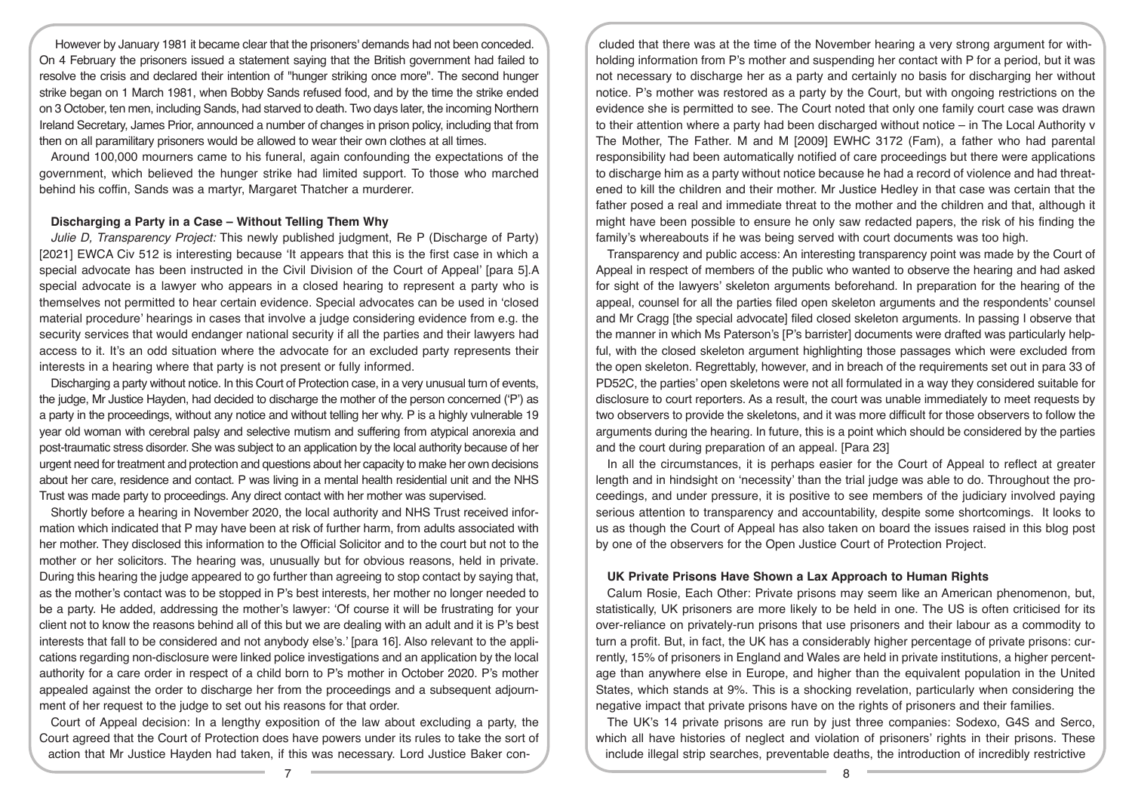However by January 1981 it became clear that the prisoners' demands had not been conceded. On 4 February the prisoners issued a statement saying that the British government had failed to resolve the crisis and declared their intention of "hunger striking once more". The second hunger strike began on 1 March 1981, when Bobby Sands refused food, and by the time the strike ended on 3 October, ten men, including Sands, had starved to death. Two days later, the incoming Northern Ireland Secretary, James Prior, announced a number of changes in prison policy, including that from then on all paramilitary prisoners would be allowed to wear their own clothes at all times.

Around 100,000 mourners came to his funeral, again confounding the expectations of the government, which believed the hunger strike had limited support. To those who marched behind his coffin, Sands was a martyr, Margaret Thatcher a murderer.

#### **Discharging a Party in a Case – Without Telling Them Why**

*Julie D, Transparency Project:* This newly published judgment, Re P (Discharge of Party) [2021] EWCA Civ 512 is interesting because 'It appears that this is the first case in which a special advocate has been instructed in the Civil Division of the Court of Appeal' [para 5].A special advocate is a lawyer who appears in a closed hearing to represent a party who is themselves not permitted to hear certain evidence. Special advocates can be used in 'closed material procedure' hearings in cases that involve a judge considering evidence from e.g. the security services that would endanger national security if all the parties and their lawyers had access to it. It's an odd situation where the advocate for an excluded party represents their interests in a hearing where that party is not present or fully informed.

Discharging a party without notice. In this Court of Protection case, in a very unusual turn of events, the judge, Mr Justice Hayden, had decided to discharge the mother of the person concerned ('P') as a party in the proceedings, without any notice and without telling her why. P is a highly vulnerable 19 year old woman with cerebral palsy and selective mutism and suffering from atypical anorexia and post-traumatic stress disorder. She was subject to an application by the local authority because of her urgent need for treatment and protection and questions about her capacity to make her own decisions about her care, residence and contact. P was living in a mental health residential unit and the NHS Trust was made party to proceedings. Any direct contact with her mother was supervised.

Shortly before a hearing in November 2020, the local authority and NHS Trust received information which indicated that P may have been at risk of further harm, from adults associated with her mother. They disclosed this information to the Official Solicitor and to the court but not to the mother or her solicitors. The hearing was, unusually but for obvious reasons, held in private. During this hearing the judge appeared to go further than agreeing to stop contact by saying that, as the mother's contact was to be stopped in P's best interests, her mother no longer needed to be a party. He added, addressing the mother's lawyer: 'Of course it will be frustrating for your client not to know the reasons behind all of this but we are dealing with an adult and it is P's best interests that fall to be considered and not anybody else's.' [para 16]. Also relevant to the applications regarding non-disclosure were linked police investigations and an application by the local authority for a care order in respect of a child born to P's mother in October 2020. P's mother appealed against the order to discharge her from the proceedings and a subsequent adjournment of her request to the judge to set out his reasons for that order.

Court of Appeal decision: In a lengthy exposition of the law about excluding a party, the Court agreed that the Court of Protection does have powers under its rules to take the sort of action that Mr Justice Hayden had taken, if this was necessary. Lord Justice Baker con-

cluded that there was at the time of the November hearing a very strong argument for withholding information from P's mother and suspending her contact with P for a period, but it was not necessary to discharge her as a party and certainly no basis for discharging her without notice. P's mother was restored as a party by the Court, but with ongoing restrictions on the evidence she is permitted to see. The Court noted that only one family court case was drawn to their attention where a party had been discharged without notice – in The Local Authority v The Mother, The Father. M and M [2009] EWHC 3172 (Fam), a father who had parental responsibility had been automatically notified of care proceedings but there were applications to discharge him as a party without notice because he had a record of violence and had threatened to kill the children and their mother. Mr Justice Hedley in that case was certain that the father posed a real and immediate threat to the mother and the children and that, although it might have been possible to ensure he only saw redacted papers, the risk of his finding the family's whereabouts if he was being served with court documents was too high.

Transparency and public access: An interesting transparency point was made by the Court of Appeal in respect of members of the public who wanted to observe the hearing and had asked for sight of the lawyers' skeleton arguments beforehand. In preparation for the hearing of the appeal, counsel for all the parties filed open skeleton arguments and the respondents' counsel and Mr Cragg [the special advocate] filed closed skeleton arguments. In passing I observe that the manner in which Ms Paterson's [P's barrister] documents were drafted was particularly helpful, with the closed skeleton argument highlighting those passages which were excluded from the open skeleton. Regrettably, however, and in breach of the requirements set out in para 33 of PD52C, the parties' open skeletons were not all formulated in a way they considered suitable for disclosure to court reporters. As a result, the court was unable immediately to meet requests by two observers to provide the skeletons, and it was more difficult for those observers to follow the arguments during the hearing. In future, this is a point which should be considered by the parties and the court during preparation of an appeal. [Para 23]

In all the circumstances, it is perhaps easier for the Court of Appeal to reflect at greater length and in hindsight on 'necessity' than the trial judge was able to do. Throughout the proceedings, and under pressure, it is positive to see members of the judiciary involved paying serious attention to transparency and accountability, despite some shortcomings. It looks to us as though the Court of Appeal has also taken on board the issues raised in this blog post by one of the observers for the Open Justice Court of Protection Project.

#### **UK Private Prisons Have Shown a Lax Approach to Human Rights**

Calum Rosie, Each Other: Private prisons may seem like an American phenomenon, but, statistically, UK prisoners are more likely to be held in one. The US is often criticised for its over-reliance on privately-run prisons that use prisoners and their labour as a commodity to turn a profit. But, in fact, the UK has a considerably higher percentage of private prisons: currently, 15% of prisoners in England and Wales are held in private institutions, a higher percentage than anywhere else in Europe, and higher than the equivalent population in the United States, which stands at 9%. This is a shocking revelation, particularly when considering the negative impact that private prisons have on the rights of prisoners and their families.

The UK's 14 private prisons are run by just three companies: Sodexo, G4S and Serco, which all have histories of neglect and violation of prisoners' rights in their prisons. These include illegal strip searches, preventable deaths, the introduction of incredibly restrictive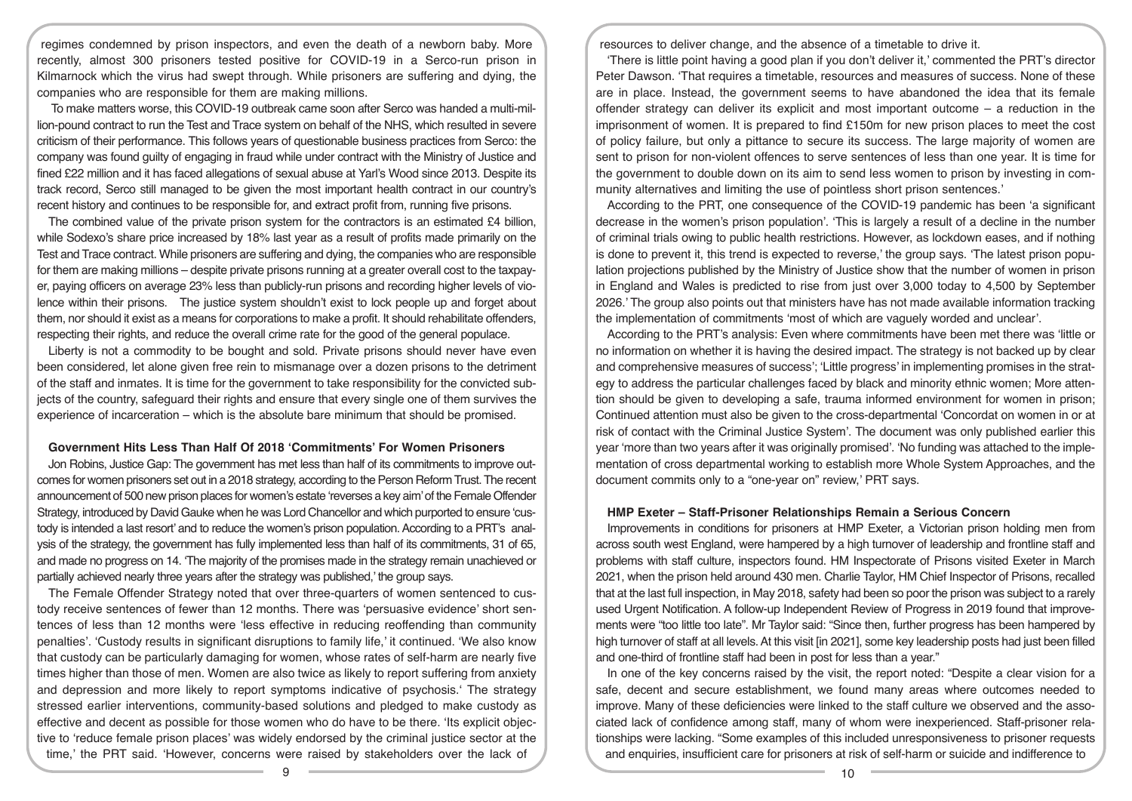regimes condemned by prison inspectors, and even the death of a newborn baby. More recently, almost 300 prisoners tested positive for COVID-19 in a Serco-run prison in Kilmarnock which the virus had swept through. While prisoners are suffering and dying, the companies who are responsible for them are making millions.

 To make matters worse, this COVID-19 outbreak came soon after Serco was handed a multi-million-pound contract to run the Test and Trace system on behalf of the NHS, which resulted in severe criticism of their performance. This follows years of questionable business practices from Serco: the company was found guilty of engaging in fraud while under contract with the Ministry of Justice and fined £22 million and it has faced allegations of sexual abuse at Yarl's Wood since 2013. Despite its track record, Serco still managed to be given the most important health contract in our country's recent history and continues to be responsible for, and extract profit from, running five prisons.

The combined value of the private prison system for the contractors is an estimated £4 billion, while Sodexo's share price increased by 18% last year as a result of profits made primarily on the Test and Trace contract. While prisoners are suffering and dying, the companies who are responsible for them are making millions – despite private prisons running at a greater overall cost to the taxpayer, paying officers on average 23% less than publicly-run prisons and recording higher levels of violence within their prisons. The justice system shouldn't exist to lock people up and forget about them, nor should it exist as a means for corporations to make a profit. It should rehabilitate offenders, respecting their rights, and reduce the overall crime rate for the good of the general populace.

Liberty is not a commodity to be bought and sold. Private prisons should never have even been considered, let alone given free rein to mismanage over a dozen prisons to the detriment of the staff and inmates. It is time for the government to take responsibility for the convicted subjects of the country, safeguard their rights and ensure that every single one of them survives the experience of incarceration – which is the absolute bare minimum that should be promised.

#### **Government Hits Less Than Half Of 2018 'Commitments' For Women Prisoners**

Jon Robins, Justice Gap: The government has met less than half of its commitments to improve outcomes for women prisoners set out in a 2018 strategy, according to the Person Reform Trust. The recent announcement of 500 new prison places for women's estate 'reverses a key aim' of the Female Offender Strategy, introduced by David Gauke when he was Lord Chancellor and which purported to ensure 'custody is intended a last resort' and to reduce the women's prison population. According to a PRT's analysis of the strategy, the government has fully implemented less than half of its commitments, 31 of 65, and made no progress on 14. 'The majority of the promises made in the strategy remain unachieved or partially achieved nearly three years after the strategy was published,' the group says.

The Female Offender Strategy noted that over three-quarters of women sentenced to custody receive sentences of fewer than 12 months. There was 'persuasive evidence' short sentences of less than 12 months were 'less effective in reducing reoffending than community penalties'. 'Custody results in significant disruptions to family life,' it continued. 'We also know that custody can be particularly damaging for women, whose rates of self-harm are nearly five times higher than those of men. Women are also twice as likely to report suffering from anxiety and depression and more likely to report symptoms indicative of psychosis.' The strategy stressed earlier interventions, community-based solutions and pledged to make custody as effective and decent as possible for those women who do have to be there. 'Its explicit objective to 'reduce female prison places' was widely endorsed by the criminal justice sector at the time,' the PRT said. 'However, concerns were raised by stakeholders over the lack of

resources to deliver change, and the absence of a timetable to drive it.

'There is little point having a good plan if you don't deliver it,' commented the PRT's director Peter Dawson. 'That requires a timetable, resources and measures of success. None of these are in place. Instead, the government seems to have abandoned the idea that its female offender strategy can deliver its explicit and most important outcome – a reduction in the imprisonment of women. It is prepared to find £150m for new prison places to meet the cost of policy failure, but only a pittance to secure its success. The large majority of women are sent to prison for non-violent offences to serve sentences of less than one year. It is time for the government to double down on its aim to send less women to prison by investing in community alternatives and limiting the use of pointless short prison sentences.'

According to the PRT, one consequence of the COVID-19 pandemic has been 'a significant decrease in the women's prison population'. 'This is largely a result of a decline in the number of criminal trials owing to public health restrictions. However, as lockdown eases, and if nothing is done to prevent it, this trend is expected to reverse,' the group says. 'The latest prison population projections published by the Ministry of Justice show that the number of women in prison in England and Wales is predicted to rise from just over 3,000 today to 4,500 by September 2026.' The group also points out that ministers have has not made available information tracking the implementation of commitments 'most of which are vaguely worded and unclear'.

According to the PRT's analysis: Even where commitments have been met there was 'little or no information on whether it is having the desired impact. The strategy is not backed up by clear and comprehensive measures of success'; 'Little progress' in implementing promises in the strategy to address the particular challenges faced by black and minority ethnic women; More attention should be given to developing a safe, trauma informed environment for women in prison; Continued attention must also be given to the cross-departmental 'Concordat on women in or at risk of contact with the Criminal Justice System'. The document was only published earlier this year 'more than two years after it was originally promised'. 'No funding was attached to the implementation of cross departmental working to establish more Whole System Approaches, and the document commits only to a "one-year on" review,' PRT says.

#### **HMP Exeter – Staff-Prisoner Relationships Remain a Serious Concern**

Improvements in conditions for prisoners at HMP Exeter, a Victorian prison holding men from across south west England, were hampered by a high turnover of leadership and frontline staff and problems with staff culture, inspectors found. HM Inspectorate of Prisons visited Exeter in March 2021, when the prison held around 430 men. Charlie Taylor, HM Chief Inspector of Prisons, recalled that at the last full inspection, in May 2018, safety had been so poor the prison was subject to a rarely used Urgent Notification. A follow-up Independent Review of Progress in 2019 found that improvements were "too little too late". Mr Taylor said: "Since then, further progress has been hampered by high turnover of staff at all levels. At this visit [in 2021], some key leadership posts had just been filled and one-third of frontline staff had been in post for less than a year."

In one of the key concerns raised by the visit, the report noted: "Despite a clear vision for a safe, decent and secure establishment, we found many areas where outcomes needed to improve. Many of these deficiencies were linked to the staff culture we observed and the associated lack of confidence among staff, many of whom were inexperienced. Staff-prisoner relationships were lacking. "Some examples of this included unresponsiveness to prisoner requests and enquiries, insufficient care for prisoners at risk of self-harm or suicide and indifference to